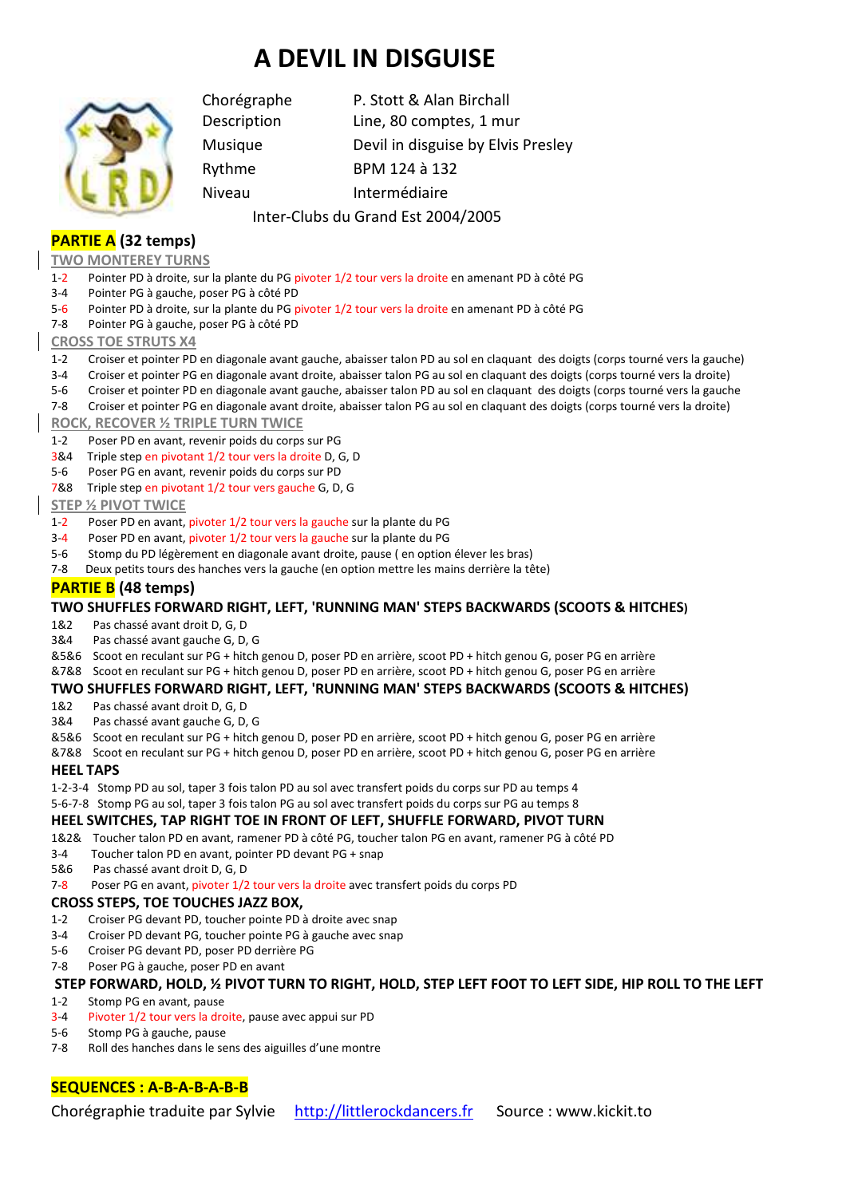# **A DEVIL IN DISGUISE**



Chorégraphe P. Stott & Alan Birchall Description Line, 80 comptes, 1 mur Musique Devil in disguise by Elvis Presley Rythme BPM 124 à 132 Niveau Intermédiaire

## Inter-Clubs du Grand Est 2004/2005

# **PARTIE A (32 temps)**

#### **TWO MONTEREY TURNS**

- 1-2 Pointer PD à droite, sur la plante du PG pivoter 1/2 tour vers la droite en amenant PD à côté PG
- 3-4 Pointer PG à gauche, poser PG à côté PD
- 5-6 Pointer PD à droite, sur la plante du PG pivoter 1/2 tour vers la droite en amenant PD à côté PG
- 7-8 Pointer PG à gauche, poser PG à côté PD

#### **CROSS TOE STRUTS X4**

- 1-2 Croiser et pointer PD en diagonale avant gauche, abaisser talon PD au sol en claquant des doigts (corps tourné vers la gauche)
- 3-4 Croiser et pointer PG en diagonale avant droite, abaisser talon PG au sol en claquant des doigts (corps tourné vers la droite)
- 5-6 Croiser et pointer PD en diagonale avant gauche, abaisser talon PD au sol en claquant des doigts (corps tourné vers la gauche
- 7-8 Croiser et pointer PG en diagonale avant droite, abaisser talon PG au sol en claquant des doigts (corps tourné vers la droite)

#### **ROCK, RECOVER ½ TRIPLE TURN TWICE**

- 1-2 Poser PD en avant, revenir poids du corps sur PG
- 3&4 Triple step en pivotant 1/2 tour vers la droite D, G, D
- 5-6 Poser PG en avant, revenir poids du corps sur PD
- 7&8 Triple step en pivotant 1/2 tour vers gauche G, D, G

#### **STEP ½ PIVOT TWICE**

- 1-2 Poser PD en avant, pivoter 1/2 tour vers la gauche sur la plante du PG
- 3-4 Poser PD en avant, pivoter 1/2 tour vers la gauche sur la plante du PG
- 5-6 Stomp du PD légèrement en diagonale avant droite, pause ( en option élever les bras)
- 7-8 Deux petits tours des hanches vers la gauche (en option mettre les mains derrière la tête)

## **PARTIE B (48 temps)**

#### **TWO SHUFFLES FORWARD RIGHT, LEFT, 'RUNNING MAN' STEPS BACKWARDS (SCOOTS & HITCHES)**

- 1&2 Pas chassé avant droit D, G, D
- 3&4 Pas chassé avant gauche G, D, G
- &5&6 Scoot en reculant sur PG + hitch genou D, poser PD en arrière, scoot PD + hitch genou G, poser PG en arrière
- &7&8 Scoot en reculant sur PG + hitch genou D, poser PD en arrière, scoot PD + hitch genou G, poser PG en arrière

#### **TWO SHUFFLES FORWARD RIGHT, LEFT, 'RUNNING MAN' STEPS BACKWARDS (SCOOTS & HITCHES)**

- 1&2 Pas chassé avant droit D, G, D
- 3&4 Pas chassé avant gauche G, D, G
- &5&6 Scoot en reculant sur PG + hitch genou D, poser PD en arrière, scoot PD + hitch genou G, poser PG en arrière
- &7&8 Scoot en reculant sur PG + hitch genou D, poser PD en arrière, scoot PD + hitch genou G, poser PG en arrière

#### **HEEL TAPS**

1-2-3-4 Stomp PD au sol, taper 3 fois talon PD au sol avec transfert poids du corps sur PD au temps 4

5-6-7-8 Stomp PG au sol, taper 3 fois talon PG au sol avec transfert poids du corps sur PG au temps 8

#### **HEEL SWITCHES, TAP RIGHT TOE IN FRONT OF LEFT, SHUFFLE FORWARD, PIVOT TURN**

- 1&2& Toucher talon PD en avant, ramener PD à côté PG, toucher talon PG en avant, ramener PG à côté PD
- 3-4 Toucher talon PD en avant, pointer PD devant PG + snap
- 5&6 Pas chassé avant droit D, G, D
- 7-8 Poser PG en avant, pivoter 1/2 tour vers la droite avec transfert poids du corps PD

#### **CROSS STEPS, TOE TOUCHES JAZZ BOX,**

- 1-2 Croiser PG devant PD, toucher pointe PD à droite avec snap
- 3-4 Croiser PD devant PG, toucher pointe PG à gauche avec snap
- 5-6 Croiser PG devant PD, poser PD derrière PG
- 7-8 Poser PG à gauche, poser PD en avant

### **STEP FORWARD, HOLD, ½ PIVOT TURN TO RIGHT, HOLD, STEP LEFT FOOT TO LEFT SIDE, HIP ROLL TO THE LEFT**

- 1-2 Stomp PG en avant, pause
- 3-4 Pivoter 1/2 tour vers la droite, pause avec appui sur PD
- 5-6 Stomp PG à gauche, pause
- 7-8 Roll des hanches dans le sens des aiguilles d'une montre

## **SEQUENCES : A-B-A-B-A-B-B**

Chorégraphie traduite par Sylvie http://littlerockdancers.fr Source : www.kickit.to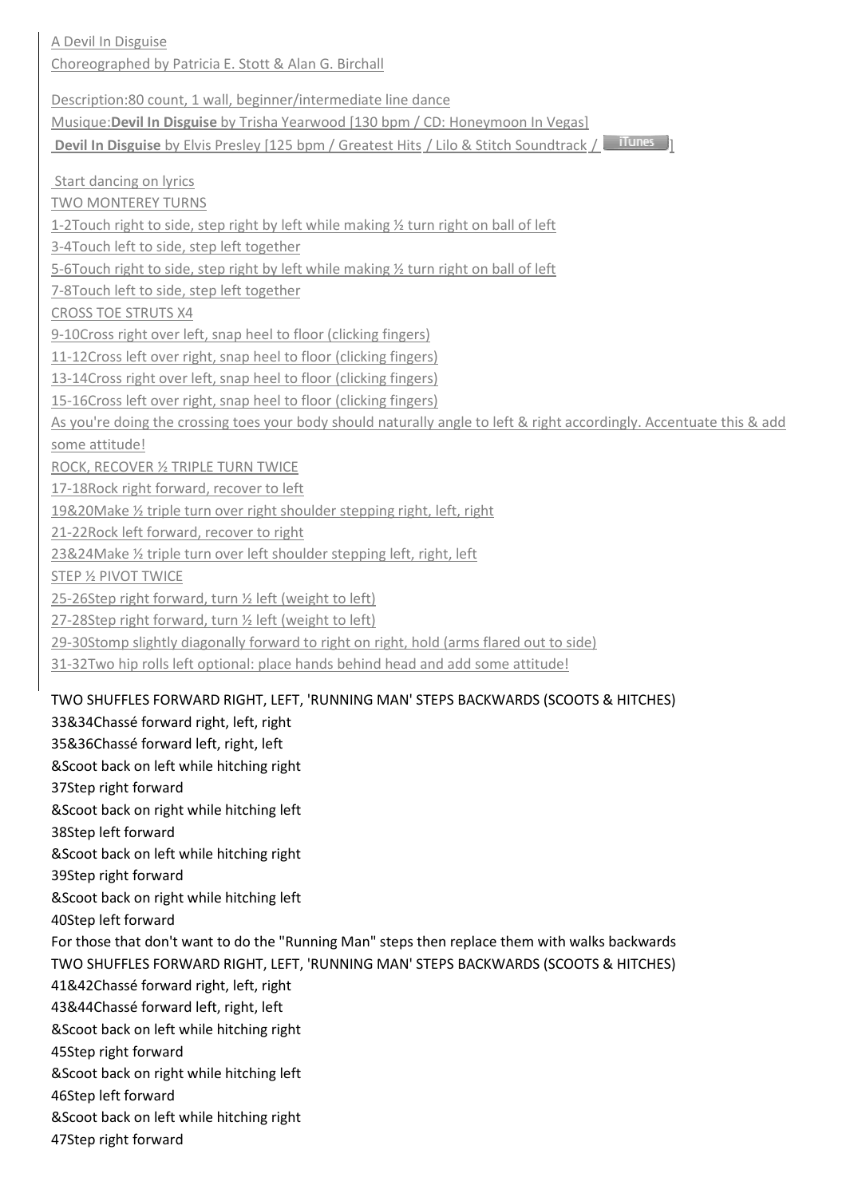A Devil In Disguise Choreographed by Patricia E. Stott & Alan G. Birchall Description:80 count, 1 wall, beginner/intermediate line dance Musique:**Devil In Disguise** by Trisha Yearwood [130 bpm / CD: Honeymoon In Vegas] **Devil In Disguise** by Elvis Presley [125 bpm / Greatest Hits / Lilo & Stitch Soundtrack / **Illunes**  Start dancing on lyrics TWO MONTEREY TURNS 1-2Touch right to side, step right by left while making ½ turn right on ball of left 3-4Touch left to side, step left together 5-6Touch right to side, step right by left while making ½ turn right on ball of left 7-8Touch left to side, step left together CROSS TOE STRUTS X4 9-10Cross right over left, snap heel to floor (clicking fingers) 11-12Cross left over right, snap heel to floor (clicking fingers) 13-14Cross right over left, snap heel to floor (clicking fingers) 15-16Cross left over right, snap heel to floor (clicking fingers) As you're doing the crossing toes your body should naturally angle to left & right accordingly. Accentuate this & add some attitude! ROCK, RECOVER ½ TRIPLE TURN TWICE 17-18Rock right forward, recover to left 19&20Make ½ triple turn over right shoulder stepping right, left, right 21-22Rock left forward, recover to right 23&24Make ½ triple turn over left shoulder stepping left, right, left STEP ½ PIVOT TWICE 25-26Step right forward, turn ½ left (weight to left) 27-28Step right forward, turn ½ left (weight to left) 29-30Stomp slightly diagonally forward to right on right, hold (arms flared out to side) 31-32Two hip rolls left optional: place hands behind head and add some attitude! TWO SHUFFLES FORWARD RIGHT, LEFT, 'RUNNING MAN' STEPS BACKWARDS (SCOOTS & HITCHES) 33&34Chassé forward right, left, right 35&36Chassé forward left, right, left &Scoot back on left while hitching right 37Step right forward &Scoot back on right while hitching left 38Step left forward &Scoot back on left while hitching right 39Step right forward &Scoot back on right while hitching left 40Step left forward For those that don't want to do the "Running Man" steps then replace them with walks backwards TWO SHUFFLES FORWARD RIGHT, LEFT, 'RUNNING MAN' STEPS BACKWARDS (SCOOTS & HITCHES) 41&42Chassé forward right, left, right 43&44Chassé forward left, right, left &Scoot back on left while hitching right 45Step right forward

- &Scoot back on right while hitching left
- 46Step left forward
- &Scoot back on left while hitching right
- 47Step right forward